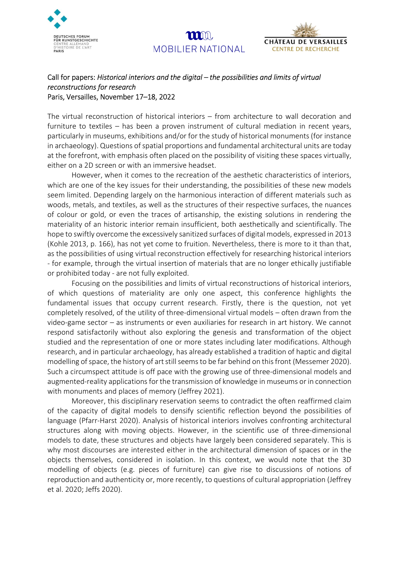



## Call for papers: Historical interiors and the digital – the possibilities and limits of virtual reconstructions for research Paris, Versailles, November 17–18, 2022

The virtual reconstruction of historical interiors – from architecture to wall decoration and furniture to textiles – has been a proven instrument of cultural mediation in recent years, particularly in museums, exhibitions and/or for the study of historical monuments (for instance in archaeology). Questions of spatial proportions and fundamental architectural units are today at the forefront, with emphasis often placed on the possibility of visiting these spaces virtually, either on a 2D screen or with an immersive headset.

 $\mathbf{m}$ n

MOBILIER NATIONAL

However, when it comes to the recreation of the aesthetic characteristics of interiors, which are one of the key issues for their understanding, the possibilities of these new models seem limited. Depending largely on the harmonious interaction of different materials such as woods, metals, and textiles, as well as the structures of their respective surfaces, the nuances of colour or gold, or even the traces of artisanship, the existing solutions in rendering the materiality of an historic interior remain insufficient, both aesthetically and scientifically. The hope to swiftly overcome the excessively sanitized surfaces of digital models, expressed in 2013 (Kohle 2013, p. 166), has not yet come to fruition. Nevertheless, there is more to it than that, as the possibilities of using virtual reconstruction effectively for researching historical interiors - for example, through the virtual insertion of materials that are no longer ethically justifiable or prohibited today - are not fully exploited.

Focusing on the possibilities and limits of virtual reconstructions of historical interiors, of which questions of materiality are only one aspect, this conference highlights the fundamental issues that occupy current research. Firstly, there is the question, not yet completely resolved, of the utility of three-dimensional virtual models – often drawn from the video-game sector – as instruments or even auxiliaries for research in art history. We cannot respond satisfactorily without also exploring the genesis and transformation of the object studied and the representation of one or more states including later modifications. Although research, and in particular archaeology, has already established a tradition of haptic and digital modelling of space, the history of art still seems to be far behind on this front (Messemer 2020). Such a circumspect attitude is off pace with the growing use of three-dimensional models and augmented-reality applications for the transmission of knowledge in museums or in connection with monuments and places of memory (Jeffrey 2021).

Moreover, this disciplinary reservation seems to contradict the often reaffirmed claim of the capacity of digital models to densify scientific reflection beyond the possibilities of language (Pfarr-Harst 2020). Analysis of historical interiors involves confronting architectural structures along with moving objects. However, in the scientific use of three-dimensional models to date, these structures and objects have largely been considered separately. This is why most discourses are interested either in the architectural dimension of spaces or in the objects themselves, considered in isolation. In this context, we would note that the 3D modelling of objects (e.g. pieces of furniture) can give rise to discussions of notions of reproduction and authenticity or, more recently, to questions of cultural appropriation (Jeffrey et al. 2020; Jeffs 2020).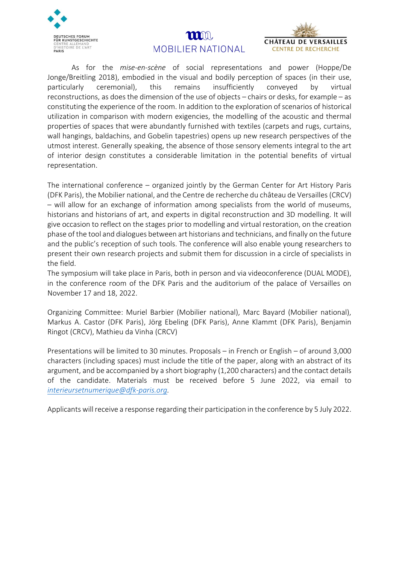

## $\mathbf{m}$ n MOBILIER NATIONAL



As for the mise-en-scène of social representations and power (Hoppe/De Jonge/Breitling 2018), embodied in the visual and bodily perception of spaces (in their use, particularly ceremonial), this remains insufficiently conveyed by virtual reconstructions, as does the dimension of the use of objects – chairs or desks, for example – as constituting the experience of the room. In addition to the exploration of scenarios of historical utilization in comparison with modern exigencies, the modelling of the acoustic and thermal properties of spaces that were abundantly furnished with textiles (carpets and rugs, curtains, wall hangings, baldachins, and Gobelin tapestries) opens up new research perspectives of the utmost interest. Generally speaking, the absence of those sensory elements integral to the art of interior design constitutes a considerable limitation in the potential benefits of virtual representation.

The international conference – organized jointly by the German Center for Art History Paris (DFK Paris), the Mobilier national, and the Centre de recherche du château de Versailles (CRCV) – will allow for an exchange of information among specialists from the world of museums, historians and historians of art, and experts in digital reconstruction and 3D modelling. It will give occasion to reflect on the stages prior to modelling and virtual restoration, on the creation phase of the tool and dialogues between art historians and technicians, and finally on the future and the public's reception of such tools. The conference will also enable young researchers to present their own research projects and submit them for discussion in a circle of specialists in the field.

The symposium will take place in Paris, both in person and via videoconference (DUAL MODE), in the conference room of the DFK Paris and the auditorium of the palace of Versailles on November 17 and 18, 2022.

Organizing Committee: Muriel Barbier (Mobilier national), Marc Bayard (Mobilier national), Markus A. Castor (DFK Paris), Jörg Ebeling (DFK Paris), Anne Klammt (DFK Paris), Benjamin Ringot (CRCV), Mathieu da Vinha (CRCV)

Presentations will be limited to 30 minutes. Proposals – in French or English – of around 3,000 characters (including spaces) must include the title of the paper, along with an abstract of its argument, and be accompanied by a short biography (1,200 characters) and the contact details of the candidate. Materials must be received before 5 June 2022, via email to interieursetnumerique@dfk-paris.org.

Applicants will receive a response regarding their participation in the conference by 5 July 2022.